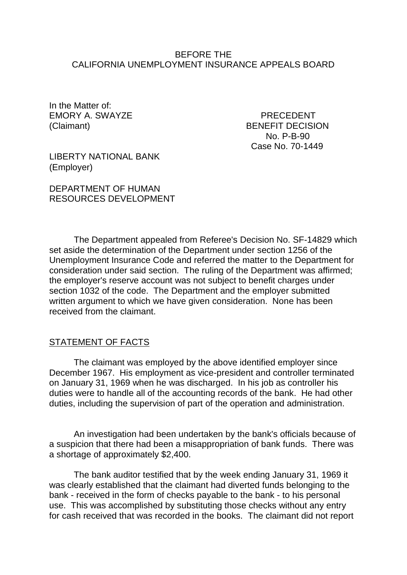### BEFORE THE CALIFORNIA UNEMPLOYMENT INSURANCE APPEALS BOARD

In the Matter of: EMORY A. SWAYZE PRECEDENT

(Claimant) BENEFIT DECISION No. P-B-90 Case No. 70-1449

LIBERTY NATIONAL BANK (Employer)

DEPARTMENT OF HUMAN RESOURCES DEVELOPMENT

The Department appealed from Referee's Decision No. SF-14829 which set aside the determination of the Department under section 1256 of the Unemployment Insurance Code and referred the matter to the Department for consideration under said section. The ruling of the Department was affirmed; the employer's reserve account was not subject to benefit charges under section 1032 of the code. The Department and the employer submitted written argument to which we have given consideration. None has been received from the claimant.

#### STATEMENT OF FACTS

The claimant was employed by the above identified employer since December 1967. His employment as vice-president and controller terminated on January 31, 1969 when he was discharged. In his job as controller his duties were to handle all of the accounting records of the bank. He had other duties, including the supervision of part of the operation and administration.

An investigation had been undertaken by the bank's officials because of a suspicion that there had been a misappropriation of bank funds. There was a shortage of approximately \$2,400.

The bank auditor testified that by the week ending January 31, 1969 it was clearly established that the claimant had diverted funds belonging to the bank - received in the form of checks payable to the bank - to his personal use. This was accomplished by substituting those checks without any entry for cash received that was recorded in the books. The claimant did not report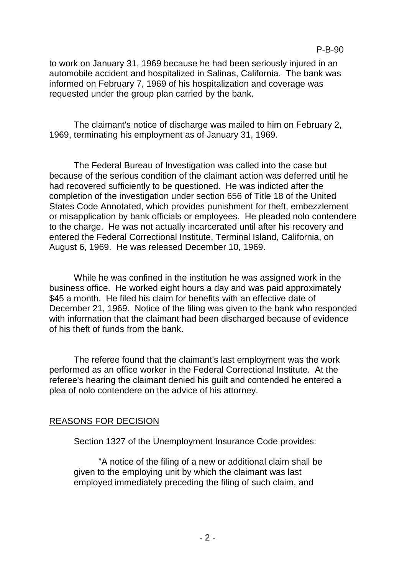to work on January 31, 1969 because he had been seriously injured in an automobile accident and hospitalized in Salinas, California. The bank was informed on February 7, 1969 of his hospitalization and coverage was requested under the group plan carried by the bank.

The claimant's notice of discharge was mailed to him on February 2, 1969, terminating his employment as of January 31, 1969.

The Federal Bureau of Investigation was called into the case but because of the serious condition of the claimant action was deferred until he had recovered sufficiently to be questioned. He was indicted after the completion of the investigation under section 656 of Title 18 of the United States Code Annotated, which provides punishment for theft, embezzlement or misapplication by bank officials or employees. He pleaded nolo contendere to the charge. He was not actually incarcerated until after his recovery and entered the Federal Correctional Institute, Terminal Island, California, on August 6, 1969. He was released December 10, 1969.

While he was confined in the institution he was assigned work in the business office. He worked eight hours a day and was paid approximately \$45 a month. He filed his claim for benefits with an effective date of December 21, 1969. Notice of the filing was given to the bank who responded with information that the claimant had been discharged because of evidence of his theft of funds from the bank.

The referee found that the claimant's last employment was the work performed as an office worker in the Federal Correctional Institute. At the referee's hearing the claimant denied his guilt and contended he entered a plea of nolo contendere on the advice of his attorney.

# REASONS FOR DECISION

Section 1327 of the Unemployment Insurance Code provides:

"A notice of the filing of a new or additional claim shall be given to the employing unit by which the claimant was last employed immediately preceding the filing of such claim, and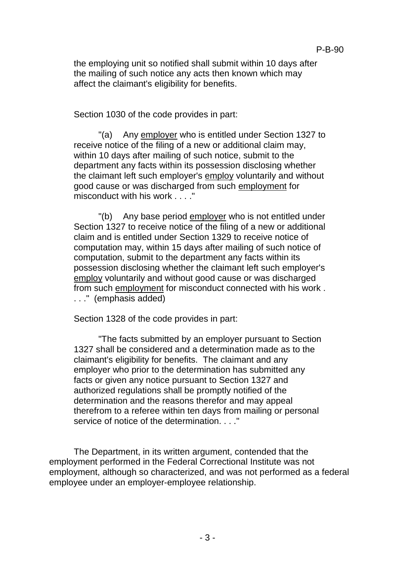the employing unit so notified shall submit within 10 days after the mailing of such notice any acts then known which may affect the claimant's eligibility for benefits.

Section 1030 of the code provides in part:

"(a) Any employer who is entitled under Section 1327 to receive notice of the filing of a new or additional claim may, within 10 days after mailing of such notice, submit to the department any facts within its possession disclosing whether the claimant left such employer's employ voluntarily and without good cause or was discharged from such employment for misconduct with his work . . . ."

"(b) Any base period employer who is not entitled under Section 1327 to receive notice of the filing of a new or additional claim and is entitled under Section 1329 to receive notice of computation may, within 15 days after mailing of such notice of computation, submit to the department any facts within its possession disclosing whether the claimant left such employer's employ voluntarily and without good cause or was discharged from such employment for misconduct connected with his work . . . ." (emphasis added)

Section 1328 of the code provides in part:

"The facts submitted by an employer pursuant to Section 1327 shall be considered and a determination made as to the claimant's eligibility for benefits. The claimant and any employer who prior to the determination has submitted any facts or given any notice pursuant to Section 1327 and authorized regulations shall be promptly notified of the determination and the reasons therefor and may appeal therefrom to a referee within ten days from mailing or personal service of notice of the determination. . . . "

The Department, in its written argument, contended that the employment performed in the Federal Correctional Institute was not employment, although so characterized, and was not performed as a federal employee under an employer-employee relationship.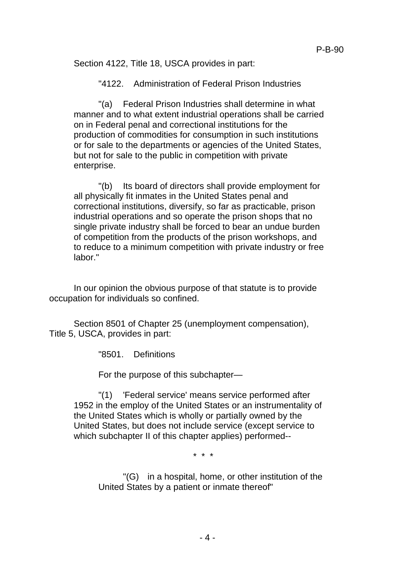Section 4122, Title 18, USCA provides in part:

"4122. Administration of Federal Prison Industries

"(a) Federal Prison Industries shall determine in what manner and to what extent industrial operations shall be carried on in Federal penal and correctional institutions for the production of commodities for consumption in such institutions or for sale to the departments or agencies of the United States, but not for sale to the public in competition with private enterprise.

"(b) Its board of directors shall provide employment for all physically fit inmates in the United States penal and correctional institutions, diversify, so far as practicable, prison industrial operations and so operate the prison shops that no single private industry shall be forced to bear an undue burden of competition from the products of the prison workshops, and to reduce to a minimum competition with private industry or free labor."

In our opinion the obvious purpose of that statute is to provide occupation for individuals so confined.

Section 8501 of Chapter 25 (unemployment compensation), Title 5, USCA, provides in part:

"8501. Definitions

For the purpose of this subchapter—

"(1) 'Federal service' means service performed after 1952 in the employ of the United States or an instrumentality of the United States which is wholly or partially owned by the United States, but does not include service (except service to which subchapter II of this chapter applies) performed--

\* \* \*

"(G) in a hospital, home, or other institution of the United States by a patient or inmate thereof"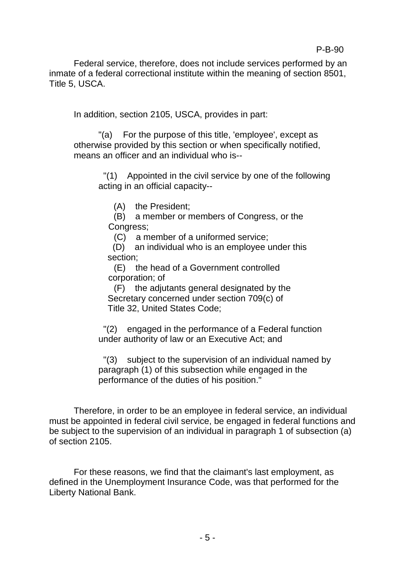Federal service, therefore, does not include services performed by an inmate of a federal correctional institute within the meaning of section 8501, Title 5, USCA.

In addition, section 2105, USCA, provides in part:

"(a) For the purpose of this title, 'employee', except as otherwise provided by this section or when specifically notified, means an officer and an individual who is--

 "(1) Appointed in the civil service by one of the following acting in an official capacity--

(A) the President;

(B) a member or members of Congress, or the Congress;

(C) a member of a uniformed service;

 (D) an individual who is an employee under this section;

(E) the head of a Government controlled corporation; of

(F) the adjutants general designated by the Secretary concerned under section 709(c) of Title 32, United States Code;

 "(2) engaged in the performance of a Federal function under authority of law or an Executive Act; and

 "(3) subject to the supervision of an individual named by paragraph (1) of this subsection while engaged in the performance of the duties of his position."

Therefore, in order to be an employee in federal service, an individual must be appointed in federal civil service, be engaged in federal functions and be subject to the supervision of an individual in paragraph 1 of subsection (a) of section 2105.

For these reasons, we find that the claimant's last employment, as defined in the Unemployment Insurance Code, was that performed for the Liberty National Bank.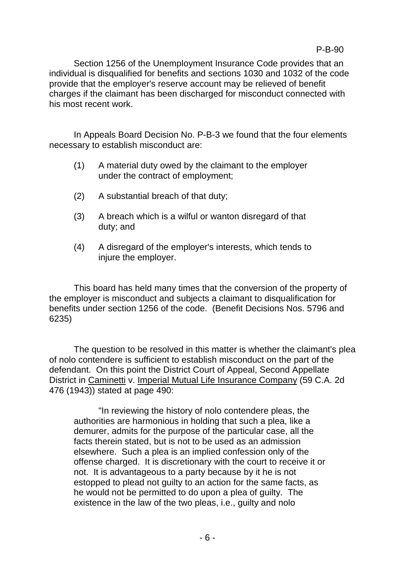Section 1256 of the Unemployment Insurance Code provides that an individual is disqualified for benefits and sections 1030 and 1032 of the code provide that the employer's reserve account may be relieved of benefit charges if the claimant has been discharged for misconduct connected with his most recent work.

In Appeals Board Decision No. P-B-3 we found that the four elements necessary to establish misconduct are:

- (1) A material duty owed by the claimant to the employer under the contract of employment;
- (2) A substantial breach of that duty;
- (3) A breach which is a wilful or wanton disregard of that duty; and
- (4) A disregard of the employer's interests, which tends to injure the employer.

This board has held many times that the conversion of the property of the employer is misconduct and subjects a claimant to disqualification for benefits under section 1256 of the code. (Benefit Decisions Nos. 5796 and 6235)

The question to be resolved in this matter is whether the claimant's plea of nolo contendere is sufficient to establish misconduct on the part of the defendant. On this point the District Court of Appeal, Second Appellate District in Caminetti v. Imperial Mutual Life Insurance Company (59 C.A. 2d 476 (1943)) stated at page 490:

"In reviewing the history of nolo contendere pleas, the authorities are harmonious in holding that such a plea, like a demurer, admits for the purpose of the particular case, all the facts therein stated, but is not to be used as an admission elsewhere. Such a plea is an implied confession only of the offense charged. It is discretionary with the court to receive it or not. It is advantageous to a party because by it he is not estopped to plead not guilty to an action for the same facts, as he would not be permitted to do upon a plea of guilty. The existence in the law of the two pleas, i.e., guilty and nolo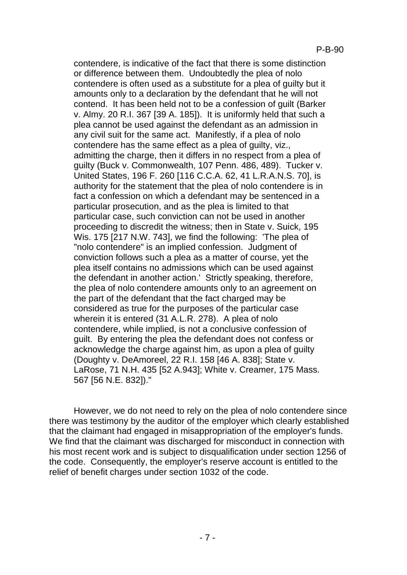contendere, is indicative of the fact that there is some distinction or difference between them. Undoubtedly the plea of nolo contendere is often used as a substitute for a plea of guilty but it amounts only to a declaration by the defendant that he will not contend. It has been held not to be a confession of guilt (Barker v. Almy. 20 R.I. 367 [39 A. 185]). It is uniformly held that such a plea cannot be used against the defendant as an admission in any civil suit for the same act. Manifestly, if a plea of nolo contendere has the same effect as a plea of guilty, viz., admitting the charge, then it differs in no respect from a plea of guilty (Buck v. Commonwealth, 107 Penn. 486, 489). Tucker v. United States, 196 F. 260 [116 C.C.A. 62, 41 L.R.A.N.S. 70], is authority for the statement that the plea of nolo contendere is in fact a confession on which a defendant may be sentenced in a particular prosecution, and as the plea is limited to that particular case, such conviction can not be used in another proceeding to discredit the witness; then in State v. Suick, 195 Wis. 175 [217 N.W. 743], we find the following: 'The plea of "nolo contendere" is an implied confession. Judgment of conviction follows such a plea as a matter of course, yet the plea itself contains no admissions which can be used against the defendant in another action.' Strictly speaking, therefore, the plea of nolo contendere amounts only to an agreement on the part of the defendant that the fact charged may be considered as true for the purposes of the particular case wherein it is entered (31 A.L.R. 278). A plea of nolo contendere, while implied, is not a conclusive confession of guilt. By entering the plea the defendant does not confess or acknowledge the charge against him, as upon a plea of guilty (Doughty v. DeAmoreel, 22 R.I. 158 [46 A. 838]; State v. LaRose, 71 N.H. 435 [52 A.943]; White v. Creamer, 175 Mass. 567 [56 N.E. 832])."

However, we do not need to rely on the plea of nolo contendere since there was testimony by the auditor of the employer which clearly established that the claimant had engaged in misappropriation of the employer's funds. We find that the claimant was discharged for misconduct in connection with his most recent work and is subject to disqualification under section 1256 of the code. Consequently, the employer's reserve account is entitled to the relief of benefit charges under section 1032 of the code.